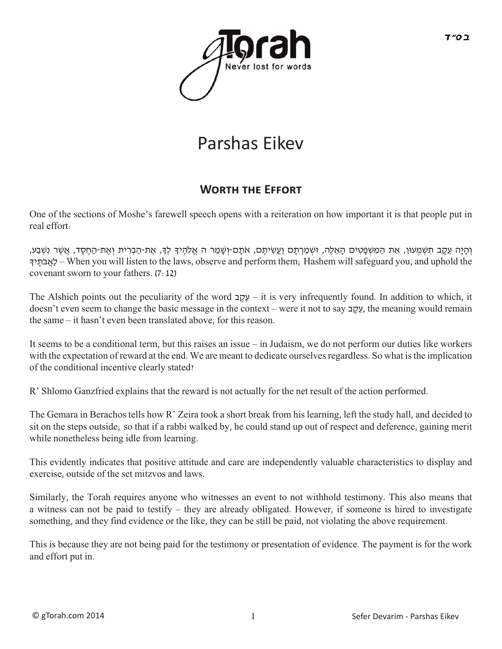

## Parshas Eikev

## **WORTH THE EFFORT**

One of the sections of Moshe's farewell speech opens with a reiteration on how important it is that people put in real effort:

וְהָיָה עֶקֶב תִּשְׁמְעוּן, אֶת הַמִּשְׁפַטִים הַאֱלֶה, וּשְׁמַרְתֶם וַעֲשִׂיתֶם, אֹתָם-וְשָׁמַר ה אֱלֹהֶיךָ לְדָּ, אֶת-הַבְרִית וְאֶת-הַחֶסֶד, אֲשֶׁר נִשְׁבַע, ךָי ֶתֹב ֲאַל – When you will listen to the laws, observe and perform them; Hashem will safeguard you, and uphold the covenant sworn to your fathers. (7:12)

The Alshich points out the peculiarity of the word  $\frac{1}{2}$ עֲקֶב – it is very infrequently found. In addition to which, it doesn't even seem to change the basic message in the context – were it not to say  $\mu$ , the meaning would remain the same – it hasn't even been translated above, for this reason.

It seems to be a conditional term, but this raises an issue – in Judaism, we do not perform our duties like workers with the expectation of reward at the end. We are meant to dedicate ourselves regardless. So what is the implication of the conditional incentive clearly stated?

R' Shlomo Ganzfried explains that the reward is not actually for the net result of the action performed.

The Gemara in Berachos tells how R' Zeira took a short break from his learning, left the study hall, and decided to sit on the steps outside; so that if a rabbi walked by, he could stand up out of respect and deference, gaining merit while nonetheless being idle from learning.

This evidently indicates that positive attitude and care are independently valuable characteristics to display and exercise, outside of the set mitzvos and laws.

Similarly, the Torah requires anyone who witnesses an event to not withhold testimony. This also means that a witness can not be paid to testify – they are already obligated. However, if someone is hired to investigate something, and they find evidence or the like, they can be still be paid, not violating the above requirement.

This is because they are not being paid for the testimony or presentation of evidence. The payment is for the work and effort put in.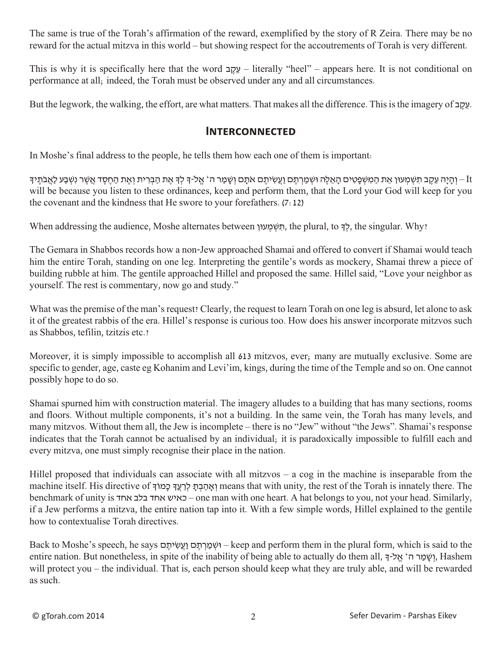The same is true of the Torah's affirmation of the reward, exemplified by the story of R Zeira. There may be no reward for the actual mitzva in this world – but showing respect for the accoutrements of Torah is very different.

This is why it is specifically here that the word ב ֶק ֵע – literally "heel" – appears here. It is not conditional on performance at all; indeed, the Torah must be observed under any and all circumstances.

But the legwork, the walking, the effort, are what matters. That makes all the difference. This is the imagery of  $\pm$ 

## **Interconnected**

In Moshe's final address to the people, he tells them how each one of them is important:

וַ – וְהָיָה עֵקֶב תִּשְׁמִעוּן אֶת הַמִּשְׁפָטִים הָאֲלֶה וּשְׁמַרְתֶם וַעֲשִיתֵם אֹתֶם וְשֶׁמַר ה´ אֱל-ךְ לִךְ אֶת הַבְרִית וְאֶת הַחֲסֶד אֲשֶׁר נִשְׁבַע לַאֲבֹתֵיךְ will be because you listen to these ordinances, keep and perform them, that the Lord your God will keep for you the covenant and the kindness that He swore to your forefathers. (7:12)

When addressing the audience, Moshe alternates between ו $\alpha$  וואמעון, the plural, to לך, the singular. Why?

The Gemara in Shabbos records how a non-Jew approached Shamai and offered to convert if Shamai would teach him the entire Torah, standing on one leg. Interpreting the gentile's words as mockery, Shamai threw a piece of building rubble at him. The gentile approached Hillel and proposed the same. Hillel said, "Love your neighbor as yourself. The rest is commentary, now go and study."

What was the premise of the man's request? Clearly, the request to learn Torah on one leg is absurd, let alone to ask it of the greatest rabbis of the era. Hillel's response is curious too. How does his answer incorporate mitzvos such as Shabbos, tefilin, tzitzis etc.?

Moreover, it is simply impossible to accomplish all 613 mitzvos, ever; many are mutually exclusive. Some are specific to gender, age, caste eg Kohanim and Levi'im, kings, during the time of the Temple and so on. One cannot possibly hope to do so.

Shamai spurned him with construction material. The imagery alludes to a building that has many sections, rooms and floors. Without multiple components, it's not a building. In the same vein, the Torah has many levels, and many mitzvos. Without them all, the Jew is incomplete – there is no "Jew" without "the Jews". Shamai's response indicates that the Torah cannot be actualised by an individual; it is paradoxically impossible to fulfill each and every mitzva, one must simply recognise their place in the nation.

Hillel proposed that individuals can associate with all mitzvos – a cog in the machine is inseparable from the machine itself. His directive of יאהבת לרעד כמוך means that with unity, the rest of the Torah is innately there. The benchmark of unity is אחד בלב אחד כאיש – one man with one heart. A hat belongs to you, not your head. Similarly, if a Jew performs a mitzva, the entire nation tap into it. With a few simple words, Hillel explained to the gentile how to contextualise Torah directives.

Back to Moshe's speech, he says וְשָׁמַרְתֵּם וַעֲשִׂיתֵם – keep and perform them in the plural form, which is said to the entire nation. But nonetheless, in spite of the inability of being able to actually do them all, יִשַּׁמַר ה' אֱל-ֹךְ, Hashem will protect you – the individual. That is, each person should keep what they are truly able, and will be rewarded as such.